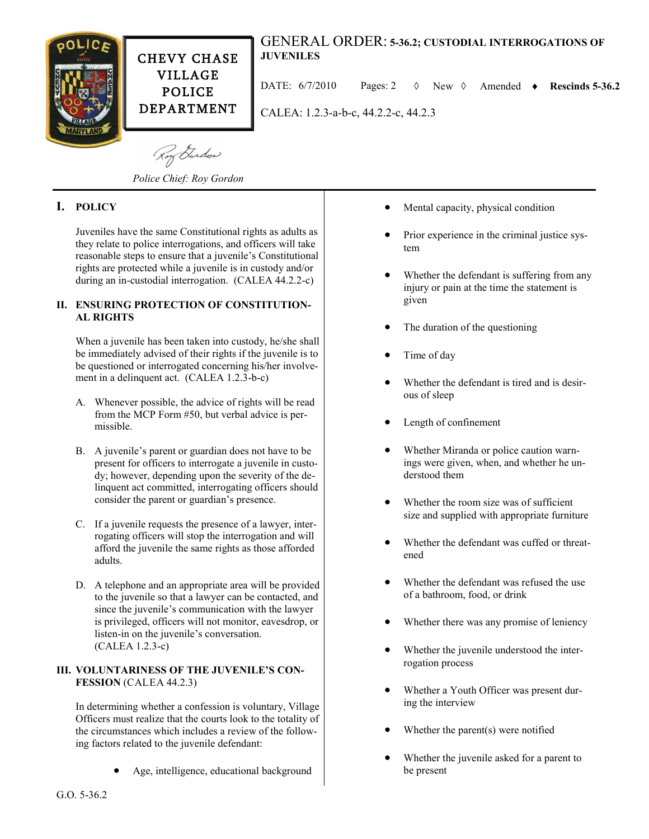

CHEVY CHASE VILLAGE POLICE DEPARTMENT

# GENERAL ORDER: **5-36.2; CUSTODIAL INTERROGATIONS OF JUVENILES**

DATE:  $6/7/2010$  Pages: 2  $\Diamond$  New  $\Diamond$  Amended  $\bullet$  Rescinds 5-36.2

CALEA: 1.2.3-a-b-c, 44.2.2-c, 44.2.3

Roy Garden

*Police Chief: Roy Gordon*

# **I. POLICY**

Juveniles have the same Constitutional rights as adults as they relate to police interrogations, and officers will take reasonable steps to ensure that a juvenile's Constitutional rights are protected while a juvenile is in custody and/or during an in-custodial interrogation. (CALEA 44.2.2-c)

# **II. ENSURING PROTECTION OF CONSTITUTION-AL RIGHTS**

When a juvenile has been taken into custody, he/she shall be immediately advised of their rights if the juvenile is to be questioned or interrogated concerning his/her involvement in a delinquent act. (CALEA 1.2.3-b-c)

- A. Whenever possible, the advice of rights will be read from the MCP Form #50, but verbal advice is permissible.
- B. A juvenile's parent or guardian does not have to be present for officers to interrogate a juvenile in custody; however, depending upon the severity of the delinquent act committed, interrogating officers should consider the parent or guardian's presence.
- C. If a juvenile requests the presence of a lawyer, interrogating officers will stop the interrogation and will afford the juvenile the same rights as those afforded adults.
- D. A telephone and an appropriate area will be provided to the juvenile so that a lawyer can be contacted, and since the juvenile's communication with the lawyer is privileged, officers will not monitor, eavesdrop, or listen-in on the juvenile's conversation. (CALEA 1.2.3-c)

# **III. VOLUNTARINESS OF THE JUVENILE'S CON-FESSION** (CALEA 44.2.3)

In determining whether a confession is voluntary, Village Officers must realize that the courts look to the totality of the circumstances which includes a review of the following factors related to the juvenile defendant:

Age, intelligence, educational background

- Mental capacity, physical condition
- Prior experience in the criminal justice system
- Whether the defendant is suffering from any injury or pain at the time the statement is given
- The duration of the questioning
- Time of day
- Whether the defendant is tired and is desirous of sleep
- Length of confinement
- Whether Miranda or police caution warnings were given, when, and whether he understood them
- Whether the room size was of sufficient size and supplied with appropriate furniture
- Whether the defendant was cuffed or threatened
- Whether the defendant was refused the use of a bathroom, food, or drink
- Whether there was any promise of leniency
- Whether the juvenile understood the interrogation process
- Whether a Youth Officer was present during the interview
- Whether the parent(s) were notified
- Whether the juvenile asked for a parent to be present